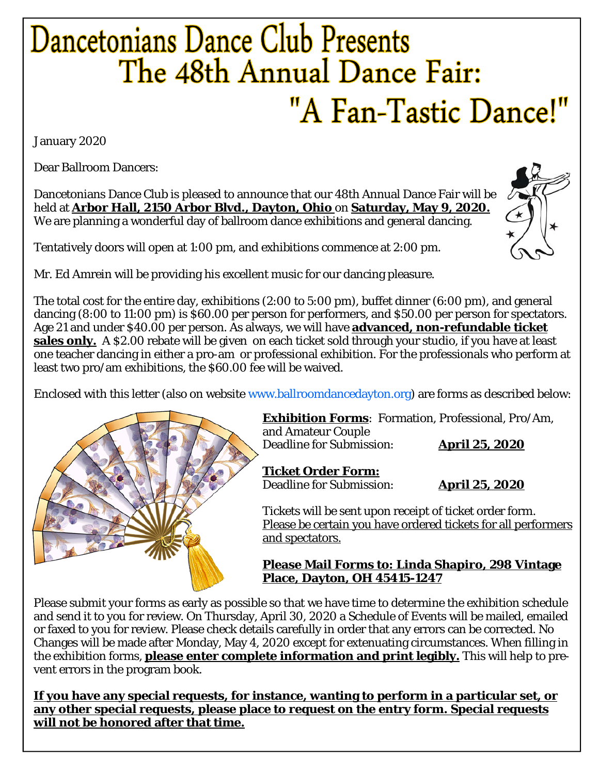## Dancetonians Dance Club Presents The 48th Annual Dance Fair: "A Fan-Tastic Dance!"

January 2020

Dear Ballroom Dancers:

Dancetonians Dance Club is pleased to announce that our 48th Annual Dance Fair will be  $\sqrt{\ }$ held at **Arbor Hall, 2150 Arbor Blvd., Dayton, Ohio** on **Saturday, May 9, 2020.**  We are planning a wonderful day of ballroom dance exhibitions and general dancing.



Mr. Ed Amrein will be providing his excellent music for our dancing pleasure.

The total cost for the entire day, exhibitions (2:00 to 5:00 pm), buffet dinner (6:00 pm), and general dancing (8:00 to 11:00 pm) is \$60.00 per person for performers, and \$50.00 per person for spectators. Age 21 and under \$40.00 per person. As always, we will have **advanced, non-refundable ticket sales only.** A \$2.00 rebate will be given on each ticket sold through your studio, if you have at least one teacher dancing in either a pro-am or professional exhibition. For the professionals who perform at least two pro/am exhibitions, the \$60.00 fee will be waived.

Enclosed with this letter (also on website www.ballroomdancedayton.org) are forms as described below:



**Exhibition Forms**: Formation, Professional, Pro/Am, and Amateur Couple Deadline for Submission: **April 25, 2020**

**Ticket Order Form:** Deadline for Submission: **April 25, 2020**

Tickets will be sent upon receipt of ticket order form. Please be certain you have ordered tickets for all performers and spectators.

#### **Please Mail Forms to: Linda Shapiro, 298 Vintage Place, Dayton, OH 45415-1247**

Please submit your forms as early as possible so that we have time to determine the exhibition schedule and send it to you for review. On Thursday, April 30, 2020 a Schedule of Events will be mailed, emailed or faxed to you for review. Please check details carefully in order that any errors can be corrected. No Changes will be made after Monday, May 4, 2020 except for extenuating circumstances. When filling in the exhibition forms, **please enter complete information and print legibly.** This will help to prevent errors in the program book.

**If you have any special requests, for instance, wanting to perform in a particular set, or any other special requests, please place to request on the entry form. Special requests will not be honored after that time.** 

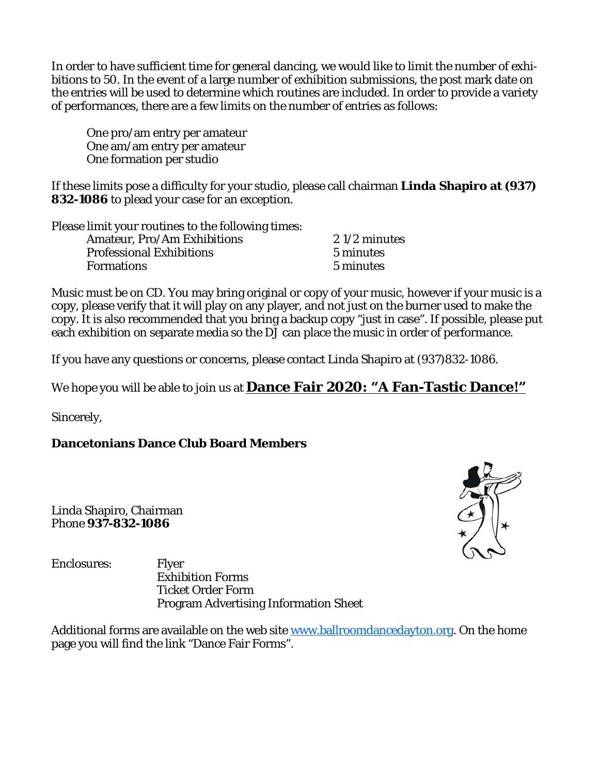In order to have sufficient time for general dancing, we would like to limit the number of exhibitions to 50. In the event of a large number of exhibition submissions, the post mark date on the entries will be used to determine which routines are included. In order to provide a variety of performances, there are a few limits on the number of entries as follows:

 One pro/am entry per amateur One am/am entry per amateur One formation per studio

If these limits pose a difficulty for your studio, please call chairman **Linda Shapiro at (937) 832-1086** to plead your case for an exception.

Please limit your routines to the following times: Amateur, Pro/Am Exhibitions 2 1/2 minutes Professional Exhibitions 5 minutes Formations 5 minutes

Music must be on CD. You may bring original or copy of your music, however if your music is a copy, please verify that it will play on any player, and not just on the burner used to make the copy. It is also recommended that you bring a backup copy "just in case". If possible, please put each exhibition on separate media so the DJ can place the music in order of performance.

If you have any questions or concerns, please contact Linda Shapiro at (937)832-1086.

We hope you will be able to join us at **Dance Fair 2020: "A Fan-Tastic Dance!"**

Sincerely,

**Dancetonians Dance Club Board Members** 

Linda Shapiro, Chairman Phone **937-832-1086**



Enclosures: Flyer Exhibition Forms Ticket Order Form Program Advertising Information Sheet

Additional forms are available on the web site www.ballroomdancedayton.org. On the home page you will find the link "Dance Fair Forms".